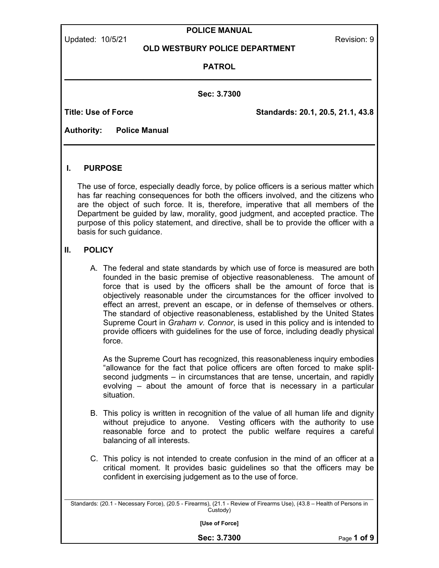| Updated: 10/5/21 |  |
|------------------|--|
|------------------|--|

#### POLICE MANUAL

Revision: 9

#### OLD WESTBURY POLICE DEPARTMENT

#### PATROL \_\_\_\_\_\_\_\_\_\_\_\_\_\_\_\_\_\_\_\_\_\_\_\_\_\_\_\_\_\_\_\_\_\_\_\_\_\_\_\_\_\_\_\_\_\_\_\_\_\_\_\_\_\_\_\_\_\_\_\_\_\_\_\_\_\_\_\_\_\_

Sec: 3.7300

Title: Use of Force **Standards: 20.1, 20.5, 21.1, 43.8** 

Authority: Police Manual

# I. PURPOSE

The use of force, especially deadly force, by police officers is a serious matter which has far reaching consequences for both the officers involved, and the citizens who are the object of such force. It is, therefore, imperative that all members of the Department be guided by law, morality, good judgment, and accepted practice. The purpose of this policy statement, and directive, shall be to provide the officer with a basis for such guidance.

# II. POLICY

A. The federal and state standards by which use of force is measured are both founded in the basic premise of objective reasonableness. The amount of force that is used by the officers shall be the amount of force that is objectively reasonable under the circumstances for the officer involved to effect an arrest, prevent an escape, or in defense of themselves or others. The standard of objective reasonableness, established by the United States Supreme Court in Graham v. Connor, is used in this policy and is intended to provide officers with guidelines for the use of force, including deadly physical force.

As the Supreme Court has recognized, this reasonableness inquiry embodies "allowance for the fact that police officers are often forced to make splitsecond judgments – in circumstances that are tense, uncertain, and rapidly evolving – about the amount of force that is necessary in a particular situation.

- B. This policy is written in recognition of the value of all human life and dignity without prejudice to anyone. Vesting officers with the authority to use reasonable force and to protect the public welfare requires a careful balancing of all interests.
- C. This policy is not intended to create confusion in the mind of an officer at a critical moment. It provides basic guidelines so that the officers may be confident in exercising judgement as to the use of force.

\_\_\_\_\_\_\_\_\_\_\_\_\_\_\_\_\_\_\_\_\_\_\_\_\_\_\_\_\_\_\_\_\_\_\_\_\_\_\_\_\_\_\_\_\_\_\_\_\_\_\_\_\_\_\_\_\_\_\_\_\_\_\_\_\_\_\_\_\_\_\_\_\_\_\_\_\_\_\_\_\_\_\_\_\_\_\_\_\_\_\_\_\_\_\_\_\_ Standards: (20.1 - Necessary Force), (20.5 - Firearms), (21.1 - Review of Firearms Use), (43.8 – Health of Persons in Custody)

[Use of Force]

Sec: 3.7300 Page 1 of 9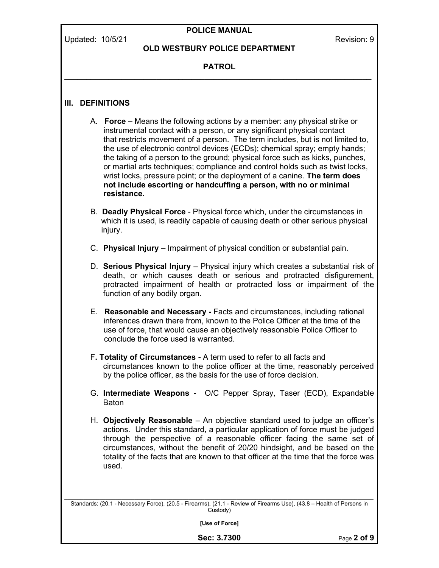# POLICE MANUAL

## OLD WESTBURY POLICE DEPARTMENT

## PATROL \_\_\_\_\_\_\_\_\_\_\_\_\_\_\_\_\_\_\_\_\_\_\_\_\_\_\_\_\_\_\_\_\_\_\_\_\_\_\_\_\_\_\_\_\_\_\_\_\_\_\_\_\_\_\_\_\_\_\_\_\_\_\_\_\_\_\_\_\_\_

## III. DEFINITIONS

- A. Force Means the following actions by a member: any physical strike or instrumental contact with a person, or any significant physical contact that restricts movement of a person. The term includes, but is not limited to, the use of electronic control devices (ECDs); chemical spray; empty hands; the taking of a person to the ground; physical force such as kicks, punches, or martial arts techniques; compliance and control holds such as twist locks, wrist locks, pressure point; or the deployment of a canine. The term does not include escorting or handcuffing a person, with no or minimal resistance.
- B. Deadly Physical Force Physical force which, under the circumstances in which it is used, is readily capable of causing death or other serious physical injury.
- C. Physical Injury Impairment of physical condition or substantial pain.
- D. Serious Physical Injury Physical injury which creates a substantial risk of death, or which causes death or serious and protracted disfigurement, protracted impairment of health or protracted loss or impairment of the function of any bodily organ.
- E. Reasonable and Necessary Facts and circumstances, including rational inferences drawn there from, known to the Police Officer at the time of the use of force, that would cause an objectively reasonable Police Officer to conclude the force used is warranted.
- F. Totality of Circumstances A term used to refer to all facts and circumstances known to the police officer at the time, reasonably perceived by the police officer, as the basis for the use of force decision.
- G. Intermediate Weapons O/C Pepper Spray, Taser (ECD), Expandable **Baton**
- H. Objectively Reasonable An objective standard used to judge an officer's actions. Under this standard, a particular application of force must be judged through the perspective of a reasonable officer facing the same set of circumstances, without the benefit of 20/20 hindsight, and be based on the totality of the facts that are known to that officer at the time that the force was used.

\_\_\_\_\_\_\_\_\_\_\_\_\_\_\_\_\_\_\_\_\_\_\_\_\_\_\_\_\_\_\_\_\_\_\_\_\_\_\_\_\_\_\_\_\_\_\_\_\_\_\_\_\_\_\_\_\_\_\_\_\_\_\_\_\_\_\_\_\_\_\_\_\_\_\_\_\_\_\_\_\_\_\_\_\_\_\_\_\_\_\_\_\_\_\_\_\_ Standards: (20.1 - Necessary Force), (20.5 - Firearms), (21.1 - Review of Firearms Use), (43.8 – Health of Persons in Custody)

[Use of Force]

Sec: 3.7300 Page 2 of 9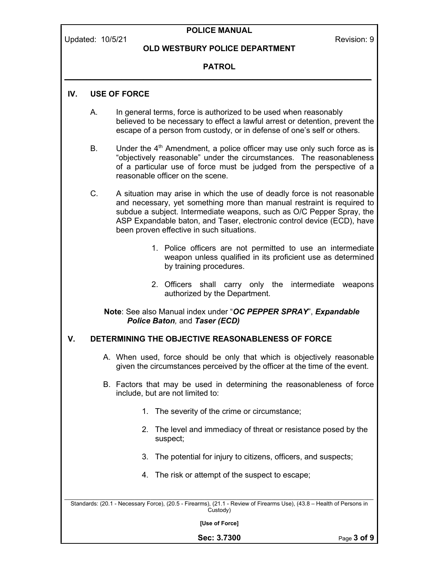# POLICE MANUAL

#### OLD WESTBURY POLICE DEPARTMENT

## PATROL \_\_\_\_\_\_\_\_\_\_\_\_\_\_\_\_\_\_\_\_\_\_\_\_\_\_\_\_\_\_\_\_\_\_\_\_\_\_\_\_\_\_\_\_\_\_\_\_\_\_\_\_\_\_\_\_\_\_\_\_\_\_\_\_\_\_\_\_\_\_

# IV. USE OF FORCE

- A. In general terms, force is authorized to be used when reasonably believed to be necessary to effect a lawful arrest or detention, prevent the escape of a person from custody, or in defense of one's self or others.
- B. Under the  $4<sup>th</sup>$  Amendment, a police officer may use only such force as is "objectively reasonable" under the circumstances. The reasonableness of a particular use of force must be judged from the perspective of a reasonable officer on the scene.
- C. A situation may arise in which the use of deadly force is not reasonable and necessary, yet something more than manual restraint is required to subdue a subject. Intermediate weapons, such as O/C Pepper Spray, the ASP Expandable baton, and Taser, electronic control device (ECD), have been proven effective in such situations.
	- 1. Police officers are not permitted to use an intermediate weapon unless qualified in its proficient use as determined by training procedures.
	- 2. Officers shall carry only the intermediate weapons authorized by the Department.

#### Note: See also Manual index under "OC PEPPER SPRAY", Expandable Police Baton, and Taser (ECD)

## V. DETERMINING THE OBJECTIVE REASONABLENESS OF FORCE

- A. When used, force should be only that which is objectively reasonable given the circumstances perceived by the officer at the time of the event.
- B. Factors that may be used in determining the reasonableness of force include, but are not limited to:
	- 1. The severity of the crime or circumstance;
	- 2. The level and immediacy of threat or resistance posed by the suspect;
	- 3. The potential for injury to citizens, officers, and suspects;
	- 4. The risk or attempt of the suspect to escape;

\_\_\_\_\_\_\_\_\_\_\_\_\_\_\_\_\_\_\_\_\_\_\_\_\_\_\_\_\_\_\_\_\_\_\_\_\_\_\_\_\_\_\_\_\_\_\_\_\_\_\_\_\_\_\_\_\_\_\_\_\_\_\_\_\_\_\_\_\_\_\_\_\_\_\_\_\_\_\_\_\_\_\_\_\_\_\_\_\_\_\_\_\_\_\_\_\_ Standards: (20.1 - Necessary Force), (20.5 - Firearms), (21.1 - Review of Firearms Use), (43.8 – Health of Persons in Custody)

[Use of Force]

Sec: 3.7300 Page 3 of 9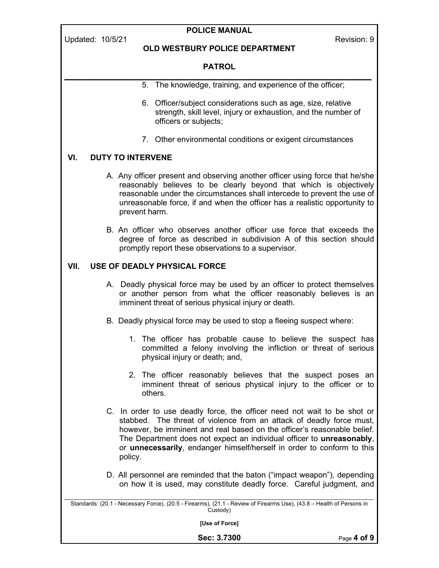# POLICE MANUAL

## OLD WESTBURY POLICE DEPARTMENT

## PATROL \_\_\_\_\_\_\_\_\_\_\_\_\_\_\_\_\_\_\_\_\_\_\_\_\_\_\_\_\_\_\_\_\_\_\_\_\_\_\_\_\_\_\_\_\_\_\_\_\_\_\_\_\_\_\_\_\_\_\_\_\_\_\_\_\_\_\_\_\_\_

- 5. The knowledge, training, and experience of the officer;
- 6. Officer/subject considerations such as age, size, relative strength, skill level, injury or exhaustion, and the number of officers or subjects;
- 7. Other environmental conditions or exigent circumstances

# VI. DUTY TO INTERVENE

- A. Any officer present and observing another officer using force that he/she reasonably believes to be clearly beyond that which is objectively reasonable under the circumstances shall intercede to prevent the use of unreasonable force, if and when the officer has a realistic opportunity to prevent harm.
- B. An officer who observes another officer use force that exceeds the degree of force as described in subdivision A of this section should promptly report these observations to a supervisor.

# VII. USE OF DEADLY PHYSICAL FORCE

- A. Deadly physical force may be used by an officer to protect themselves or another person from what the officer reasonably believes is an imminent threat of serious physical injury or death.
- B. Deadly physical force may be used to stop a fleeing suspect where:
	- 1. The officer has probable cause to believe the suspect has committed a felony involving the infliction or threat of serious physical injury or death; and,
	- 2. The officer reasonably believes that the suspect poses an imminent threat of serious physical injury to the officer or to others.
- C. In order to use deadly force, the officer need not wait to be shot or stabbed. The threat of violence from an attack of deadly force must, however, be imminent and real based on the officer's reasonable belief. The Department does not expect an individual officer to **unreasonably**, or unnecessarily, endanger himself/herself in order to conform to this policy.
- D. All personnel are reminded that the baton ("impact weapon"), depending on how it is used, may constitute deadly force. Careful judgment, and

\_\_\_\_\_\_\_\_\_\_\_\_\_\_\_\_\_\_\_\_\_\_\_\_\_\_\_\_\_\_\_\_\_\_\_\_\_\_\_\_\_\_\_\_\_\_\_\_\_\_\_\_\_\_\_\_\_\_\_\_\_\_\_\_\_\_\_\_\_\_\_\_\_\_\_\_\_\_\_\_\_\_\_\_\_\_\_\_\_\_\_\_\_\_\_\_\_ Standards: (20.1 - Necessary Force), (20.5 - Firearms), (21.1 - Review of Firearms Use), (43.8 – Health of Persons in Custody)

[Use of Force]

Sec: 3.7300 Page 4 of 9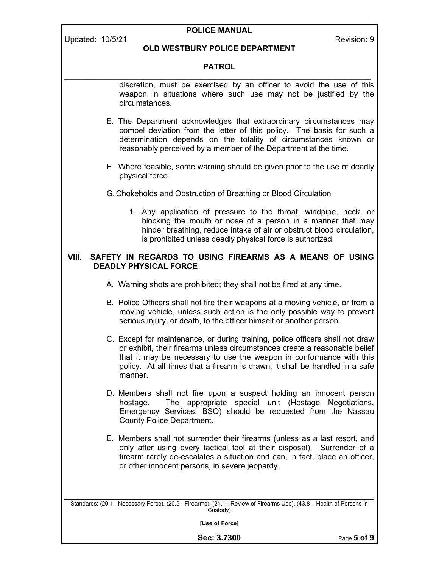| <b>POLICE MANUAL</b>                                                                                                              |                                                                                                                                                                                                                                                                                                                              |             |  |  |  |  |
|-----------------------------------------------------------------------------------------------------------------------------------|------------------------------------------------------------------------------------------------------------------------------------------------------------------------------------------------------------------------------------------------------------------------------------------------------------------------------|-------------|--|--|--|--|
| Updated: 10/5/21                                                                                                                  | OLD WESTBURY POLICE DEPARTMENT                                                                                                                                                                                                                                                                                               | Revision: 9 |  |  |  |  |
|                                                                                                                                   | <b>PATROL</b>                                                                                                                                                                                                                                                                                                                |             |  |  |  |  |
|                                                                                                                                   | discretion, must be exercised by an officer to avoid the use of this<br>weapon in situations where such use may not be justified by the<br>circumstances.                                                                                                                                                                    |             |  |  |  |  |
|                                                                                                                                   | E. The Department acknowledges that extraordinary circumstances may<br>compel deviation from the letter of this policy. The basis for such a<br>determination depends on the totality of circumstances known or<br>reasonably perceived by a member of the Department at the time.                                           |             |  |  |  |  |
|                                                                                                                                   | F. Where feasible, some warning should be given prior to the use of deadly<br>physical force.                                                                                                                                                                                                                                |             |  |  |  |  |
|                                                                                                                                   | G. Chokeholds and Obstruction of Breathing or Blood Circulation                                                                                                                                                                                                                                                              |             |  |  |  |  |
|                                                                                                                                   | 1. Any application of pressure to the throat, windpipe, neck, or<br>blocking the mouth or nose of a person in a manner that may<br>hinder breathing, reduce intake of air or obstruct blood circulation,<br>is prohibited unless deadly physical force is authorized.                                                        |             |  |  |  |  |
| SAFETY IN REGARDS TO USING FIREARMS AS A MEANS OF USING<br>VIII.<br><b>DEADLY PHYSICAL FORCE</b>                                  |                                                                                                                                                                                                                                                                                                                              |             |  |  |  |  |
|                                                                                                                                   | A. Warning shots are prohibited; they shall not be fired at any time.                                                                                                                                                                                                                                                        |             |  |  |  |  |
|                                                                                                                                   | B. Police Officers shall not fire their weapons at a moving vehicle, or from a<br>moving vehicle, unless such action is the only possible way to prevent<br>serious injury, or death, to the officer himself or another person.                                                                                              |             |  |  |  |  |
|                                                                                                                                   | C. Except for maintenance, or during training, police officers shall not draw<br>or exhibit, their firearms unless circumstances create a reasonable belief<br>that it may be necessary to use the weapon in conformance with this<br>policy. At all times that a firearm is drawn, it shall be handled in a safe<br>manner. |             |  |  |  |  |
|                                                                                                                                   | D. Members shall not fire upon a suspect holding an innocent person<br>The appropriate special unit (Hostage Negotiations,<br>hostage.<br>Emergency Services, BSO) should be requested from the Nassau<br><b>County Police Department.</b>                                                                                   |             |  |  |  |  |
|                                                                                                                                   | E. Members shall not surrender their firearms (unless as a last resort, and<br>only after using every tactical tool at their disposal). Surrender of a<br>firearm rarely de-escalates a situation and can, in fact, place an officer,<br>or other innocent persons, in severe jeopardy.                                      |             |  |  |  |  |
| Standards: (20.1 - Necessary Force), (20.5 - Firearms), (21.1 - Review of Firearms Use), (43.8 - Health of Persons in<br>Custody) |                                                                                                                                                                                                                                                                                                                              |             |  |  |  |  |
| [Use of Force]                                                                                                                    |                                                                                                                                                                                                                                                                                                                              |             |  |  |  |  |

Sec: 3.7300 Page 5 of 9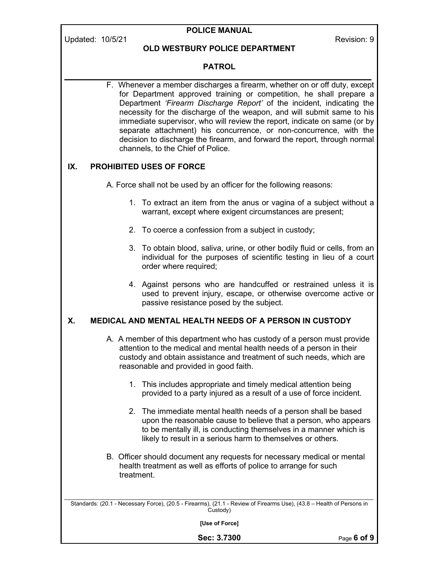# POLICE MANUAL

## OLD WESTBURY POLICE DEPARTMENT

## PATROL

\_\_\_\_\_\_\_\_\_\_\_\_\_\_\_\_\_\_\_\_\_\_\_\_\_\_\_\_\_\_\_\_\_\_\_\_\_\_\_\_\_\_\_\_\_\_\_\_\_\_\_\_\_\_\_\_\_\_\_\_\_\_\_\_\_\_\_\_\_\_ F. Whenever a member discharges a firearm, whether on or off duty, except for Department approved training or competition, he shall prepare a Department 'Firearm Discharge Report' of the incident, indicating the necessity for the discharge of the weapon, and will submit same to his immediate supervisor, who will review the report, indicate on same (or by separate attachment) his concurrence, or non-concurrence, with the decision to discharge the firearm, and forward the report, through normal channels, to the Chief of Police.

## IX. PROHIBITED USES OF FORCE

A. Force shall not be used by an officer for the following reasons:

- 1. To extract an item from the anus or vagina of a subject without a warrant, except where exigent circumstances are present;
- 2. To coerce a confession from a subject in custody;
- 3. To obtain blood, saliva, urine, or other bodily fluid or cells, from an individual for the purposes of scientific testing in lieu of a court order where required;
- 4. Against persons who are handcuffed or restrained unless it is used to prevent injury, escape, or otherwise overcome active or passive resistance posed by the subject.

## X. MEDICAL AND MENTAL HEALTH NEEDS OF A PERSON IN CUSTODY

- A. A member of this department who has custody of a person must provide attention to the medical and mental health needs of a person in their custody and obtain assistance and treatment of such needs, which are reasonable and provided in good faith.
	- 1. This includes appropriate and timely medical attention being provided to a party injured as a result of a use of force incident.
	- 2. The immediate mental health needs of a person shall be based upon the reasonable cause to believe that a person, who appears to be mentally ill, is conducting themselves in a manner which is likely to result in a serious harm to themselves or others.
- B. Officer should document any requests for necessary medical or mental health treatment as well as efforts of police to arrange for such treatment.

\_\_\_\_\_\_\_\_\_\_\_\_\_\_\_\_\_\_\_\_\_\_\_\_\_\_\_\_\_\_\_\_\_\_\_\_\_\_\_\_\_\_\_\_\_\_\_\_\_\_\_\_\_\_\_\_\_\_\_\_\_\_\_\_\_\_\_\_\_\_\_\_\_\_\_\_\_\_\_\_\_\_\_\_\_\_\_\_\_\_\_\_\_\_\_\_\_ Standards: (20.1 - Necessary Force), (20.5 - Firearms), (21.1 - Review of Firearms Use), (43.8 – Health of Persons in Custody)

[Use of Force]

Sec: 3.7300 Page 6 of 9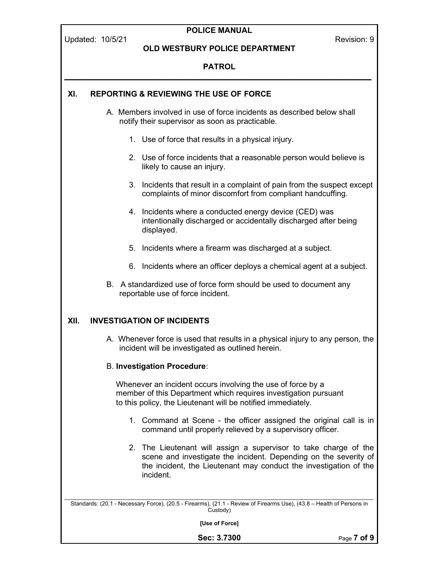POLICE MANUAL Updated: 10/5/21 **Review Additional Properties Additional Properties Addition: 9** Revision: 9 OLD WESTBURY POLICE DEPARTMENT PATROL \_\_\_\_\_\_\_\_\_\_\_\_\_\_\_\_\_\_\_\_\_\_\_\_\_\_\_\_\_\_\_\_\_\_\_\_\_\_\_\_\_\_\_\_\_\_\_\_\_\_\_\_\_\_\_\_\_\_\_\_\_\_\_\_\_\_\_\_\_\_ \_\_\_\_\_\_\_\_\_\_\_\_\_\_\_\_\_\_\_\_\_\_\_\_\_\_\_\_\_\_\_\_\_\_\_\_\_\_\_\_\_\_\_\_\_\_\_\_\_\_\_\_\_\_\_\_\_\_\_\_\_\_\_\_\_\_\_\_\_\_\_\_\_\_\_\_\_\_\_\_\_\_\_\_\_\_\_\_\_\_\_\_\_\_\_\_\_ Standards: (20.1 - Necessary Force), (20.5 - Firearms), (21.1 - Review of Firearms Use), (43.8 – Health of Persons in Custody) [Use of Force] XI. REPORTING & REVIEWING THE USE OF FORCE A. Members involved in use of force incidents as described below shall notify their supervisor as soon as practicable. 1. Use of force that results in a physical injury. 2. Use of force incidents that a reasonable person would believe is likely to cause an injury. 3. Incidents that result in a complaint of pain from the suspect except complaints of minor discomfort from compliant handcuffing. 4. Incidents where a conducted energy device (CED) was intentionally discharged or accidentally discharged after being displayed. 5. Incidents where a firearm was discharged at a subject. 6. Incidents where an officer deploys a chemical agent at a subject. B. A standardized use of force form should be used to document any reportable use of force incident. XII. INVESTIGATION OF INCIDENTS A. Whenever force is used that results in a physical injury to any person, the incident will be investigated as outlined herein. B. Investigation Procedure: Whenever an incident occurs involving the use of force by a member of this Department which requires investigation pursuant to this policy, the Lieutenant will be notified immediately. 1. Command at Scene - the officer assigned the original call is in command until properly relieved by a supervisory officer. 2. The Lieutenant will assign a supervisor to take charge of the scene and investigate the incident. Depending on the severity of the incident, the Lieutenant may conduct the investigation of the incident.

Sec: 3.7300 Page 7 of 9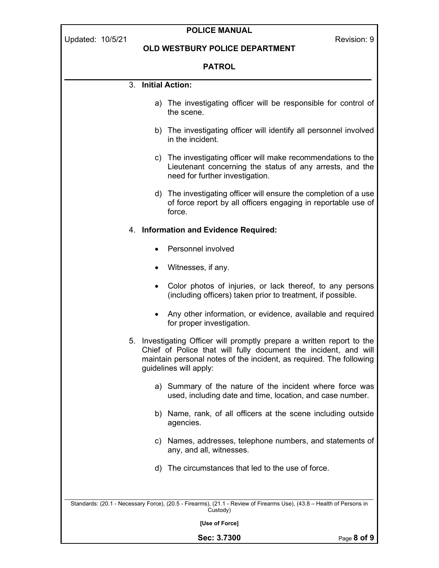| <b>POLICE MANUAL</b><br>Updated: 10/5/21<br>Revision: 9                                                                                                                                                                                    |                                                                                                                                                              |                 |  |  |  |  |
|--------------------------------------------------------------------------------------------------------------------------------------------------------------------------------------------------------------------------------------------|--------------------------------------------------------------------------------------------------------------------------------------------------------------|-----------------|--|--|--|--|
|                                                                                                                                                                                                                                            | <b>OLD WESTBURY POLICE DEPARTMENT</b>                                                                                                                        |                 |  |  |  |  |
| <b>PATROL</b>                                                                                                                                                                                                                              |                                                                                                                                                              |                 |  |  |  |  |
|                                                                                                                                                                                                                                            | 3. Initial Action:                                                                                                                                           |                 |  |  |  |  |
|                                                                                                                                                                                                                                            | a) The investigating officer will be responsible for control of<br>the scene.                                                                                |                 |  |  |  |  |
|                                                                                                                                                                                                                                            | b) The investigating officer will identify all personnel involved<br>in the incident.                                                                        |                 |  |  |  |  |
|                                                                                                                                                                                                                                            | c) The investigating officer will make recommendations to the<br>Lieutenant concerning the status of any arrests, and the<br>need for further investigation. |                 |  |  |  |  |
|                                                                                                                                                                                                                                            | d) The investigating officer will ensure the completion of a use<br>of force report by all officers engaging in reportable use of<br>force.                  |                 |  |  |  |  |
|                                                                                                                                                                                                                                            | 4. Information and Evidence Required:                                                                                                                        |                 |  |  |  |  |
|                                                                                                                                                                                                                                            | Personnel involved                                                                                                                                           |                 |  |  |  |  |
|                                                                                                                                                                                                                                            | Witnesses, if any.                                                                                                                                           |                 |  |  |  |  |
|                                                                                                                                                                                                                                            | Color photos of injuries, or lack thereof, to any persons<br>$\bullet$<br>(including officers) taken prior to treatment, if possible.                        |                 |  |  |  |  |
|                                                                                                                                                                                                                                            | Any other information, or evidence, available and required<br>for proper investigation.                                                                      |                 |  |  |  |  |
| 5. Investigating Officer will promptly prepare a written report to the<br>Chief of Police that will fully document the incident, and will<br>maintain personal notes of the incident, as required. The following<br>guidelines will apply: |                                                                                                                                                              |                 |  |  |  |  |
|                                                                                                                                                                                                                                            | Summary of the nature of the incident where force was<br>a)<br>used, including date and time, location, and case number.                                     |                 |  |  |  |  |
|                                                                                                                                                                                                                                            | b) Name, rank, of all officers at the scene including outside<br>agencies.                                                                                   |                 |  |  |  |  |
|                                                                                                                                                                                                                                            | c) Names, addresses, telephone numbers, and statements of<br>any, and all, witnesses.                                                                        |                 |  |  |  |  |
|                                                                                                                                                                                                                                            | d) The circumstances that led to the use of force.                                                                                                           |                 |  |  |  |  |
| Standards: (20.1 - Necessary Force), (20.5 - Firearms), (21.1 - Review of Firearms Use), (43.8 - Health of Persons in<br>Custody)                                                                                                          |                                                                                                                                                              |                 |  |  |  |  |
| [Use of Force]                                                                                                                                                                                                                             |                                                                                                                                                              |                 |  |  |  |  |
|                                                                                                                                                                                                                                            | Sec: 3.7300                                                                                                                                                  | Page $8$ of $9$ |  |  |  |  |